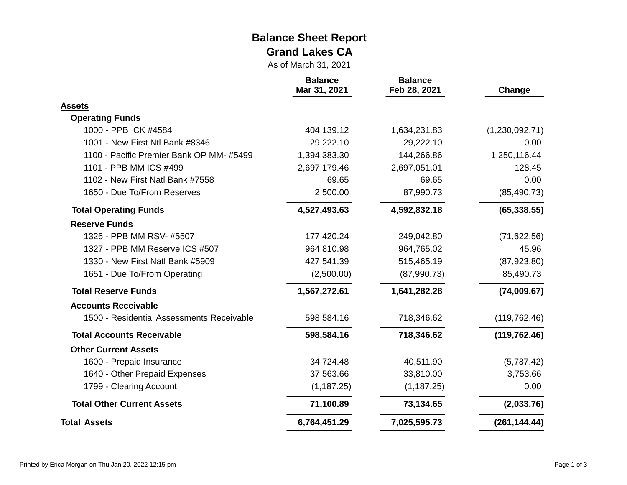#### **Balance Sheet Report Grand Lakes CA**

As of March 31, 2021

|                                           | <b>Balance</b><br>Mar 31, 2021 | <b>Balance</b><br>Feb 28, 2021 | Change         |  |
|-------------------------------------------|--------------------------------|--------------------------------|----------------|--|
| <b>Assets</b>                             |                                |                                |                |  |
| <b>Operating Funds</b>                    |                                |                                |                |  |
| 1000 - PPB CK #4584                       | 404,139.12                     | 1,634,231.83                   | (1,230,092.71) |  |
| 1001 - New First Ntl Bank #8346           | 29,222.10                      | 29,222.10                      | 0.00           |  |
| 1100 - Pacific Premier Bank OP MM-#5499   | 1,394,383.30                   | 144,266.86                     | 1,250,116.44   |  |
| 1101 - PPB MM ICS #499                    | 2,697,179.46                   | 2,697,051.01                   | 128.45         |  |
| 1102 - New First Natl Bank #7558          | 69.65                          | 69.65                          | 0.00           |  |
| 1650 - Due To/From Reserves               | 2,500.00                       | 87,990.73                      | (85, 490.73)   |  |
| <b>Total Operating Funds</b>              | 4,527,493.63                   | 4,592,832.18                   | (65, 338.55)   |  |
| <b>Reserve Funds</b>                      |                                |                                |                |  |
| 1326 - PPB MM RSV- #5507                  | 177,420.24                     | 249,042.80                     | (71, 622.56)   |  |
| 1327 - PPB MM Reserve ICS #507            | 964,810.98                     | 964,765.02                     | 45.96          |  |
| 1330 - New First Natl Bank #5909          | 427,541.39                     | 515,465.19                     | (87,923.80)    |  |
| 1651 - Due To/From Operating              | (2,500.00)                     | (87,990.73)                    | 85,490.73      |  |
| <b>Total Reserve Funds</b>                | 1,567,272.61                   | 1,641,282.28                   | (74,009.67)    |  |
| <b>Accounts Receivable</b>                |                                |                                |                |  |
| 1500 - Residential Assessments Receivable | 598,584.16                     | 718,346.62                     | (119, 762.46)  |  |
| <b>Total Accounts Receivable</b>          | 598,584.16                     | 718,346.62                     | (119, 762.46)  |  |
| <b>Other Current Assets</b>               |                                |                                |                |  |
| 1600 - Prepaid Insurance                  | 34,724.48                      | 40,511.90                      | (5,787.42)     |  |
| 1640 - Other Prepaid Expenses             | 37,563.66                      | 33,810.00                      | 3,753.66       |  |
| 1799 - Clearing Account                   | (1, 187.25)                    | (1, 187.25)                    | 0.00           |  |
| <b>Total Other Current Assets</b>         | 71,100.89                      | 73,134.65                      | (2,033.76)     |  |
| <b>Total Assets</b>                       | 6,764,451.29                   | 7,025,595.73                   | (261, 144.44)  |  |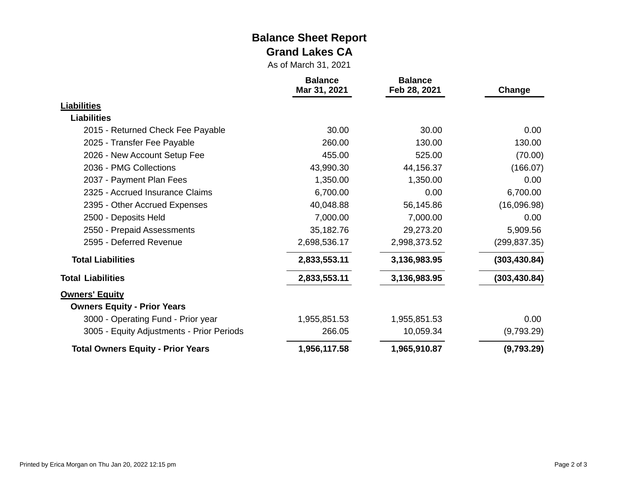#### **Balance Sheet Report Grand Lakes CA**

As of March 31, 2021

|                                           | <b>Balance</b><br>Mar 31, 2021 | <b>Balance</b><br>Feb 28, 2021 | Change        |
|-------------------------------------------|--------------------------------|--------------------------------|---------------|
| <b>Liabilities</b>                        |                                |                                |               |
| <b>Liabilities</b>                        |                                |                                |               |
| 2015 - Returned Check Fee Payable         | 30.00                          | 30.00                          | 0.00          |
| 2025 - Transfer Fee Payable               | 260.00                         | 130.00                         | 130.00        |
| 2026 - New Account Setup Fee              | 455.00                         | 525.00                         | (70.00)       |
| 2036 - PMG Collections                    | 43,990.30                      | 44,156.37                      | (166.07)      |
| 2037 - Payment Plan Fees                  | 1,350.00                       | 1,350.00                       | 0.00          |
| 2325 - Accrued Insurance Claims           | 6,700.00                       | 0.00                           | 6,700.00      |
| 2395 - Other Accrued Expenses             | 40,048.88                      | 56,145.86                      | (16,096.98)   |
| 2500 - Deposits Held                      | 7,000.00                       | 7,000.00                       | 0.00          |
| 2550 - Prepaid Assessments                | 35,182.76                      | 29,273.20                      | 5,909.56      |
| 2595 - Deferred Revenue                   | 2,698,536.17                   | 2,998,373.52                   | (299, 837.35) |
| <b>Total Liabilities</b>                  | 2,833,553.11                   | 3,136,983.95                   | (303, 430.84) |
| <b>Total Liabilities</b>                  | 2,833,553.11                   | 3,136,983.95                   | (303, 430.84) |
| <b>Owners' Equity</b>                     |                                |                                |               |
| <b>Owners Equity - Prior Years</b>        |                                |                                |               |
| 3000 - Operating Fund - Prior year        | 1,955,851.53                   | 1,955,851.53                   | 0.00          |
| 3005 - Equity Adjustments - Prior Periods | 266.05                         | 10,059.34                      | (9,793.29)    |
| <b>Total Owners Equity - Prior Years</b>  | 1,956,117.58                   | 1,965,910.87                   | (9,793.29)    |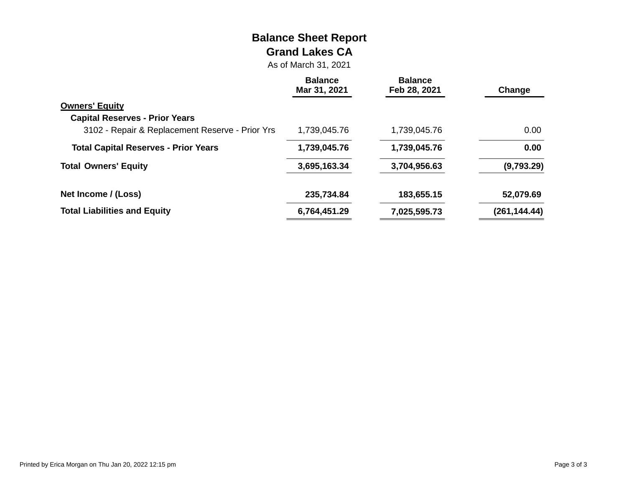# **Balance Sheet Report Grand Lakes CA**

As of March 31, 2021

|                                                 | <b>Balance</b><br>Mar 31, 2021 | <b>Balance</b><br>Feb 28, 2021 | Change        |
|-------------------------------------------------|--------------------------------|--------------------------------|---------------|
| <b>Owners' Equity</b>                           |                                |                                |               |
| <b>Capital Reserves - Prior Years</b>           |                                |                                |               |
| 3102 - Repair & Replacement Reserve - Prior Yrs | 1,739,045.76                   | 1,739,045.76                   | 0.00          |
| <b>Total Capital Reserves - Prior Years</b>     | 1,739,045.76                   | 1,739,045.76                   | 0.00          |
| <b>Total Owners' Equity</b>                     | 3,695,163.34                   | 3,704,956.63                   | (9,793.29)    |
| Net Income / (Loss)                             | 235,734.84                     | 183,655.15                     | 52,079.69     |
| <b>Total Liabilities and Equity</b>             | 6,764,451.29                   | 7,025,595.73                   | (261, 144.44) |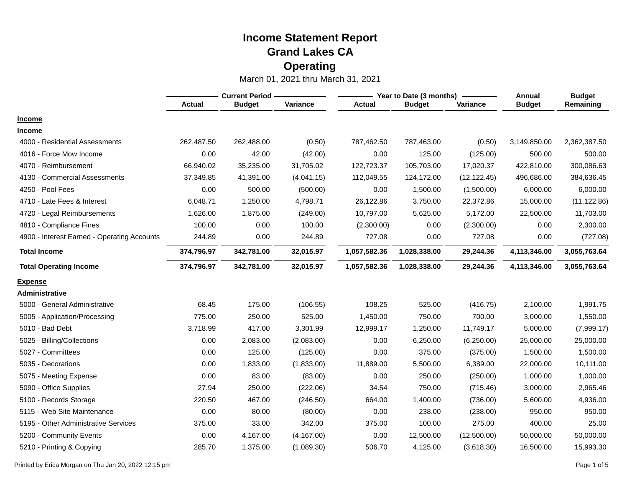|                                             | <b>Current Period -</b> |               |             |               | Year to Date (3 months) | <b>Annual</b> | <b>Budget</b> |              |
|---------------------------------------------|-------------------------|---------------|-------------|---------------|-------------------------|---------------|---------------|--------------|
|                                             | <b>Actual</b>           | <b>Budget</b> | Variance    | <b>Actual</b> | <b>Budget</b>           | Variance      | <b>Budget</b> | Remaining    |
| <b>Income</b>                               |                         |               |             |               |                         |               |               |              |
| <b>Income</b>                               |                         |               |             |               |                         |               |               |              |
| 4000 - Residential Assessments              | 262,487.50              | 262,488.00    | (0.50)      | 787,462.50    | 787,463.00              | (0.50)        | 3,149,850.00  | 2,362,387.50 |
| 4016 - Force Mow Income                     | 0.00                    | 42.00         | (42.00)     | 0.00          | 125.00                  | (125.00)      | 500.00        | 500.00       |
| 4070 - Reimbursement                        | 66,940.02               | 35,235.00     | 31,705.02   | 122,723.37    | 105,703.00              | 17,020.37     | 422,810.00    | 300,086.63   |
| 4130 - Commercial Assessments               | 37,349.85               | 41,391.00     | (4,041.15)  | 112,049.55    | 124,172.00              | (12, 122.45)  | 496,686.00    | 384,636.45   |
| 4250 - Pool Fees                            | 0.00                    | 500.00        | (500.00)    | 0.00          | 1,500.00                | (1,500.00)    | 6,000.00      | 6,000.00     |
| 4710 - Late Fees & Interest                 | 6,048.71                | 1,250.00      | 4,798.71    | 26,122.86     | 3,750.00                | 22,372.86     | 15,000.00     | (11, 122.86) |
| 4720 - Legal Reimbursements                 | 1,626.00                | 1,875.00      | (249.00)    | 10,797.00     | 5,625.00                | 5,172.00      | 22,500.00     | 11,703.00    |
| 4810 - Compliance Fines                     | 100.00                  | 0.00          | 100.00      | (2,300.00)    | 0.00                    | (2,300.00)    | 0.00          | 2,300.00     |
| 4900 - Interest Earned - Operating Accounts | 244.89                  | 0.00          | 244.89      | 727.08        | 0.00                    | 727.08        | 0.00          | (727.08)     |
| <b>Total Income</b>                         | 374,796.97              | 342,781.00    | 32,015.97   | 1,057,582.36  | 1,028,338.00            | 29,244.36     | 4,113,346.00  | 3,055,763.64 |
| <b>Total Operating Income</b>               | 374,796.97              | 342,781.00    | 32,015.97   | 1,057,582.36  | 1,028,338.00            | 29,244.36     | 4,113,346.00  | 3,055,763.64 |
| <b>Expense</b>                              |                         |               |             |               |                         |               |               |              |
| <b>Administrative</b>                       |                         |               |             |               |                         |               |               |              |
| 5000 - General Administrative               | 68.45                   | 175.00        | (106.55)    | 108.25        | 525.00                  | (416.75)      | 2,100.00      | 1,991.75     |
| 5005 - Application/Processing               | 775.00                  | 250.00        | 525.00      | 1,450.00      | 750.00                  | 700.00        | 3,000.00      | 1,550.00     |
| 5010 - Bad Debt                             | 3,718.99                | 417.00        | 3,301.99    | 12,999.17     | 1,250.00                | 11,749.17     | 5,000.00      | (7,999.17)   |
| 5025 - Billing/Collections                  | 0.00                    | 2,083.00      | (2,083.00)  | 0.00          | 6,250.00                | (6,250.00)    | 25,000.00     | 25,000.00    |
| 5027 - Committees                           | 0.00                    | 125.00        | (125.00)    | 0.00          | 375.00                  | (375.00)      | 1,500.00      | 1,500.00     |
| 5035 - Decorations                          | 0.00                    | 1,833.00      | (1,833.00)  | 11,889.00     | 5,500.00                | 6,389.00      | 22,000.00     | 10,111.00    |
| 5075 - Meeting Expense                      | 0.00                    | 83.00         | (83.00)     | 0.00          | 250.00                  | (250.00)      | 1,000.00      | 1,000.00     |
| 5090 - Office Supplies                      | 27.94                   | 250.00        | (222.06)    | 34.54         | 750.00                  | (715.46)      | 3,000.00      | 2,965.46     |
| 5100 - Records Storage                      | 220.50                  | 467.00        | (246.50)    | 664.00        | 1,400.00                | (736.00)      | 5,600.00      | 4,936.00     |
| 5115 - Web Site Maintenance                 | 0.00                    | 80.00         | (80.00)     | 0.00          | 238.00                  | (238.00)      | 950.00        | 950.00       |
| 5195 - Other Administrative Services        | 375.00                  | 33.00         | 342.00      | 375.00        | 100.00                  | 275.00        | 400.00        | 25.00        |
| 5200 - Community Events                     | 0.00                    | 4,167.00      | (4, 167.00) | 0.00          | 12,500.00               | (12,500.00)   | 50,000.00     | 50,000.00    |
| 5210 - Printing & Copying                   | 285.70                  | 1,375.00      | (1,089.30)  | 506.70        | 4,125.00                | (3,618.30)    | 16,500.00     | 15,993.30    |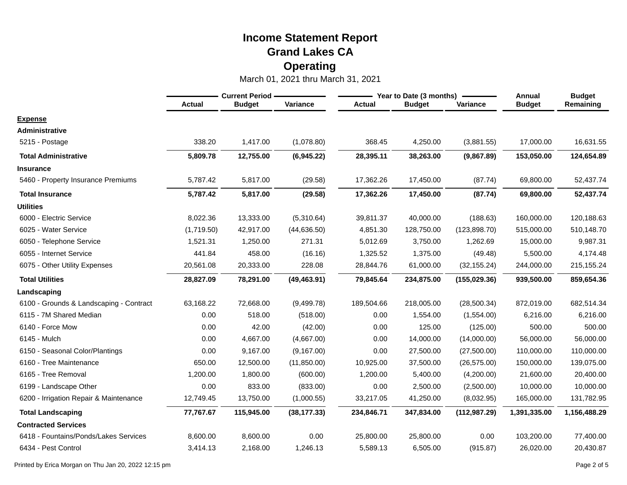|                                         | <b>Current Period</b> |               |              |               | Year to Date (3 months) | Annual        | <b>Budget</b> |              |
|-----------------------------------------|-----------------------|---------------|--------------|---------------|-------------------------|---------------|---------------|--------------|
|                                         | <b>Actual</b>         | <b>Budget</b> | Variance     | <b>Actual</b> | <b>Budget</b>           | Variance      | <b>Budget</b> | Remaining    |
| <b>Expense</b>                          |                       |               |              |               |                         |               |               |              |
| <b>Administrative</b>                   |                       |               |              |               |                         |               |               |              |
| 5215 - Postage                          | 338.20                | 1,417.00      | (1,078.80)   | 368.45        | 4,250.00                | (3,881.55)    | 17,000.00     | 16,631.55    |
| <b>Total Administrative</b>             | 5,809.78              | 12,755.00     | (6,945.22)   | 28,395.11     | 38,263.00               | (9,867.89)    | 153,050.00    | 124,654.89   |
| <b>Insurance</b>                        |                       |               |              |               |                         |               |               |              |
| 5460 - Property Insurance Premiums      | 5,787.42              | 5,817.00      | (29.58)      | 17,362.26     | 17,450.00               | (87.74)       | 69,800.00     | 52,437.74    |
| <b>Total Insurance</b>                  | 5,787.42              | 5,817.00      | (29.58)      | 17,362.26     | 17,450.00               | (87.74)       | 69,800.00     | 52,437.74    |
| <b>Utilities</b>                        |                       |               |              |               |                         |               |               |              |
| 6000 - Electric Service                 | 8,022.36              | 13,333.00     | (5,310.64)   | 39,811.37     | 40,000.00               | (188.63)      | 160,000.00    | 120,188.63   |
| 6025 - Water Service                    | (1,719.50)            | 42,917.00     | (44, 636.50) | 4,851.30      | 128,750.00              | (123, 898.70) | 515,000.00    | 510,148.70   |
| 6050 - Telephone Service                | 1,521.31              | 1,250.00      | 271.31       | 5,012.69      | 3,750.00                | 1,262.69      | 15,000.00     | 9,987.31     |
| 6055 - Internet Service                 | 441.84                | 458.00        | (16.16)      | 1,325.52      | 1,375.00                | (49.48)       | 5,500.00      | 4,174.48     |
| 6075 - Other Utility Expenses           | 20,561.08             | 20,333.00     | 228.08       | 28,844.76     | 61,000.00               | (32, 155.24)  | 244,000.00    | 215,155.24   |
| <b>Total Utilities</b>                  | 28,827.09             | 78,291.00     | (49, 463.91) | 79,845.64     | 234,875.00              | (155, 029.36) | 939,500.00    | 859,654.36   |
| Landscaping                             |                       |               |              |               |                         |               |               |              |
| 6100 - Grounds & Landscaping - Contract | 63,168.22             | 72,668.00     | (9,499.78)   | 189,504.66    | 218,005.00              | (28, 500.34)  | 872,019.00    | 682,514.34   |
| 6115 - 7M Shared Median                 | 0.00                  | 518.00        | (518.00)     | 0.00          | 1,554.00                | (1,554.00)    | 6,216.00      | 6,216.00     |
| 6140 - Force Mow                        | 0.00                  | 42.00         | (42.00)      | 0.00          | 125.00                  | (125.00)      | 500.00        | 500.00       |
| 6145 - Mulch                            | 0.00                  | 4,667.00      | (4,667.00)   | 0.00          | 14,000.00               | (14,000.00)   | 56,000.00     | 56,000.00    |
| 6150 - Seasonal Color/Plantings         | 0.00                  | 9,167.00      | (9, 167.00)  | 0.00          | 27,500.00               | (27,500.00)   | 110,000.00    | 110,000.00   |
| 6160 - Tree Maintenance                 | 650.00                | 12,500.00     | (11, 850.00) | 10,925.00     | 37,500.00               | (26, 575.00)  | 150,000.00    | 139,075.00   |
| 6165 - Tree Removal                     | 1,200.00              | 1,800.00      | (600.00)     | 1,200.00      | 5,400.00                | (4,200.00)    | 21,600.00     | 20,400.00    |
| 6199 - Landscape Other                  | 0.00                  | 833.00        | (833.00)     | 0.00          | 2,500.00                | (2,500.00)    | 10,000.00     | 10,000.00    |
| 6200 - Irrigation Repair & Maintenance  | 12,749.45             | 13,750.00     | (1,000.55)   | 33,217.05     | 41,250.00               | (8,032.95)    | 165,000.00    | 131,782.95   |
| <b>Total Landscaping</b>                | 77,767.67             | 115,945.00    | (38, 177.33) | 234,846.71    | 347,834.00              | (112, 987.29) | 1,391,335.00  | 1,156,488.29 |
| <b>Contracted Services</b>              |                       |               |              |               |                         |               |               |              |
| 6418 - Fountains/Ponds/Lakes Services   | 8,600.00              | 8,600.00      | 0.00         | 25,800.00     | 25,800.00               | 0.00          | 103,200.00    | 77,400.00    |
| 6434 - Pest Control                     | 3,414.13              | 2,168.00      | 1,246.13     | 5,589.13      | 6,505.00                | (915.87)      | 26,020.00     | 20,430.87    |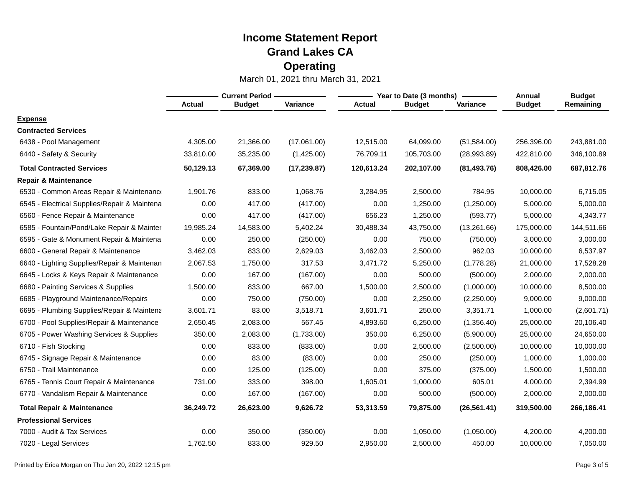|                                              | <b>Current Period</b> |               |              |               | Year to Date (3 months) | Annual       | <b>Budget</b> |            |
|----------------------------------------------|-----------------------|---------------|--------------|---------------|-------------------------|--------------|---------------|------------|
|                                              | <b>Actual</b>         | <b>Budget</b> | Variance     | <b>Actual</b> | <b>Budget</b>           | Variance     | <b>Budget</b> | Remaining  |
| <b>Expense</b>                               |                       |               |              |               |                         |              |               |            |
| <b>Contracted Services</b>                   |                       |               |              |               |                         |              |               |            |
| 6438 - Pool Management                       | 4,305.00              | 21,366.00     | (17,061.00)  | 12,515.00     | 64,099.00               | (51, 584.00) | 256,396.00    | 243,881.00 |
| 6440 - Safety & Security                     | 33,810.00             | 35,235.00     | (1,425.00)   | 76,709.11     | 105,703.00              | (28,993.89)  | 422,810.00    | 346,100.89 |
| <b>Total Contracted Services</b>             | 50,129.13             | 67,369.00     | (17, 239.87) | 120,613.24    | 202,107.00              | (81, 493.76) | 808,426.00    | 687,812.76 |
| <b>Repair &amp; Maintenance</b>              |                       |               |              |               |                         |              |               |            |
| 6530 - Common Areas Repair & Maintenance     | 1,901.76              | 833.00        | 1,068.76     | 3,284.95      | 2,500.00                | 784.95       | 10,000.00     | 6,715.05   |
| 6545 - Electrical Supplies/Repair & Maintena | 0.00                  | 417.00        | (417.00)     | 0.00          | 1,250.00                | (1,250.00)   | 5,000.00      | 5,000.00   |
| 6560 - Fence Repair & Maintenance            | 0.00                  | 417.00        | (417.00)     | 656.23        | 1,250.00                | (593.77)     | 5,000.00      | 4,343.77   |
| 6585 - Fountain/Pond/Lake Repair & Mainter   | 19,985.24             | 14,583.00     | 5,402.24     | 30,488.34     | 43,750.00               | (13, 261.66) | 175,000.00    | 144,511.66 |
| 6595 - Gate & Monument Repair & Maintena     | 0.00                  | 250.00        | (250.00)     | 0.00          | 750.00                  | (750.00)     | 3,000.00      | 3,000.00   |
| 6600 - General Repair & Maintenance          | 3,462.03              | 833.00        | 2,629.03     | 3,462.03      | 2,500.00                | 962.03       | 10,000.00     | 6,537.97   |
| 6640 - Lighting Supplies/Repair & Maintenan  | 2,067.53              | 1,750.00      | 317.53       | 3,471.72      | 5,250.00                | (1,778.28)   | 21,000.00     | 17,528.28  |
| 6645 - Locks & Keys Repair & Maintenance     | 0.00                  | 167.00        | (167.00)     | 0.00          | 500.00                  | (500.00)     | 2,000.00      | 2,000.00   |
| 6680 - Painting Services & Supplies          | 1,500.00              | 833.00        | 667.00       | 1,500.00      | 2,500.00                | (1,000.00)   | 10,000.00     | 8,500.00   |
| 6685 - Playground Maintenance/Repairs        | 0.00                  | 750.00        | (750.00)     | 0.00          | 2,250.00                | (2,250.00)   | 9,000.00      | 9,000.00   |
| 6695 - Plumbing Supplies/Repair & Maintena   | 3,601.71              | 83.00         | 3,518.71     | 3,601.71      | 250.00                  | 3,351.71     | 1,000.00      | (2,601.71) |
| 6700 - Pool Supplies/Repair & Maintenance    | 2,650.45              | 2,083.00      | 567.45       | 4,893.60      | 6,250.00                | (1,356.40)   | 25,000.00     | 20,106.40  |
| 6705 - Power Washing Services & Supplies     | 350.00                | 2,083.00      | (1,733.00)   | 350.00        | 6,250.00                | (5,900.00)   | 25,000.00     | 24,650.00  |
| 6710 - Fish Stocking                         | 0.00                  | 833.00        | (833.00)     | 0.00          | 2,500.00                | (2,500.00)   | 10,000.00     | 10,000.00  |
| 6745 - Signage Repair & Maintenance          | 0.00                  | 83.00         | (83.00)      | 0.00          | 250.00                  | (250.00)     | 1,000.00      | 1,000.00   |
| 6750 - Trail Maintenance                     | 0.00                  | 125.00        | (125.00)     | 0.00          | 375.00                  | (375.00)     | 1,500.00      | 1,500.00   |
| 6765 - Tennis Court Repair & Maintenance     | 731.00                | 333.00        | 398.00       | 1,605.01      | 1,000.00                | 605.01       | 4,000.00      | 2,394.99   |
| 6770 - Vandalism Repair & Maintenance        | 0.00                  | 167.00        | (167.00)     | 0.00          | 500.00                  | (500.00)     | 2,000.00      | 2,000.00   |
| <b>Total Repair &amp; Maintenance</b>        | 36,249.72             | 26,623.00     | 9,626.72     | 53,313.59     | 79,875.00               | (26, 561.41) | 319,500.00    | 266,186.41 |
| <b>Professional Services</b>                 |                       |               |              |               |                         |              |               |            |
| 7000 - Audit & Tax Services                  | 0.00                  | 350.00        | (350.00)     | 0.00          | 1,050.00                | (1,050.00)   | 4,200.00      | 4,200.00   |
| 7020 - Legal Services                        | 1,762.50              | 833.00        | 929.50       | 2,950.00      | 2,500.00                | 450.00       | 10,000.00     | 7,050.00   |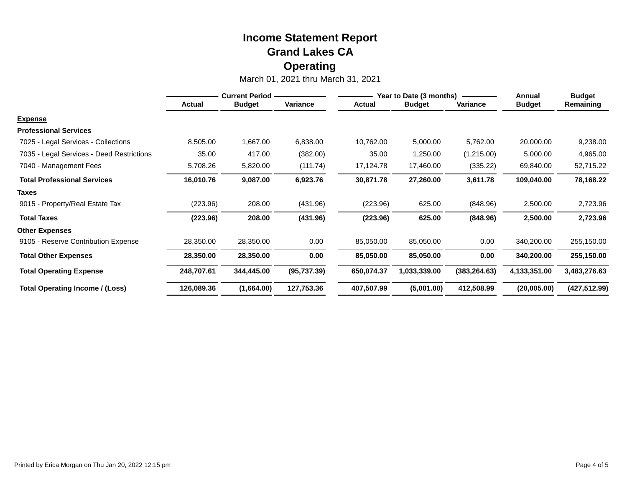|                                           | <b>Current Period -</b> |               |              | Year to Date (3 months) |               |               | Annual        | <b>Budget</b> |
|-------------------------------------------|-------------------------|---------------|--------------|-------------------------|---------------|---------------|---------------|---------------|
|                                           | <b>Actual</b>           | <b>Budget</b> | Variance     | <b>Actual</b>           | <b>Budget</b> | Variance      | <b>Budget</b> | Remaining     |
| <b>Expense</b>                            |                         |               |              |                         |               |               |               |               |
| <b>Professional Services</b>              |                         |               |              |                         |               |               |               |               |
| 7025 - Legal Services - Collections       | 8,505.00                | 1,667.00      | 6,838.00     | 10,762.00               | 5,000.00      | 5,762.00      | 20,000.00     | 9,238.00      |
| 7035 - Legal Services - Deed Restrictions | 35.00                   | 417.00        | (382.00)     | 35.00                   | 1,250.00      | (1,215.00)    | 5,000.00      | 4,965.00      |
| 7040 - Management Fees                    | 5,708.26                | 5,820.00      | (111.74)     | 17,124.78               | 17,460.00     | (335.22)      | 69,840.00     | 52,715.22     |
| <b>Total Professional Services</b>        | 16,010.76               | 9,087.00      | 6,923.76     | 30,871.78               | 27,260.00     | 3,611.78      | 109,040.00    | 78,168.22     |
| <b>Taxes</b>                              |                         |               |              |                         |               |               |               |               |
| 9015 - Property/Real Estate Tax           | (223.96)                | 208.00        | (431.96)     | (223.96)                | 625.00        | (848.96)      | 2,500.00      | 2,723.96      |
| <b>Total Taxes</b>                        | (223.96)                | 208.00        | (431.96)     | (223.96)                | 625.00        | (848.96)      | 2,500.00      | 2,723.96      |
| <b>Other Expenses</b>                     |                         |               |              |                         |               |               |               |               |
| 9105 - Reserve Contribution Expense       | 28,350.00               | 28,350.00     | 0.00         | 85,050.00               | 85,050.00     | 0.00          | 340,200.00    | 255,150.00    |
| <b>Total Other Expenses</b>               | 28,350.00               | 28,350.00     | 0.00         | 85,050.00               | 85,050.00     | 0.00          | 340,200.00    | 255,150.00    |
| <b>Total Operating Expense</b>            | 248,707.61              | 344,445.00    | (95, 737.39) | 650,074.37              | 1,033,339.00  | (383, 264.63) | 4,133,351.00  | 3,483,276.63  |
| <b>Total Operating Income / (Loss)</b>    | 126,089.36              | (1,664.00)    | 127,753.36   | 407,507.99              | (5,001.00)    | 412,508.99    | (20,005.00)   | (427, 512.99) |